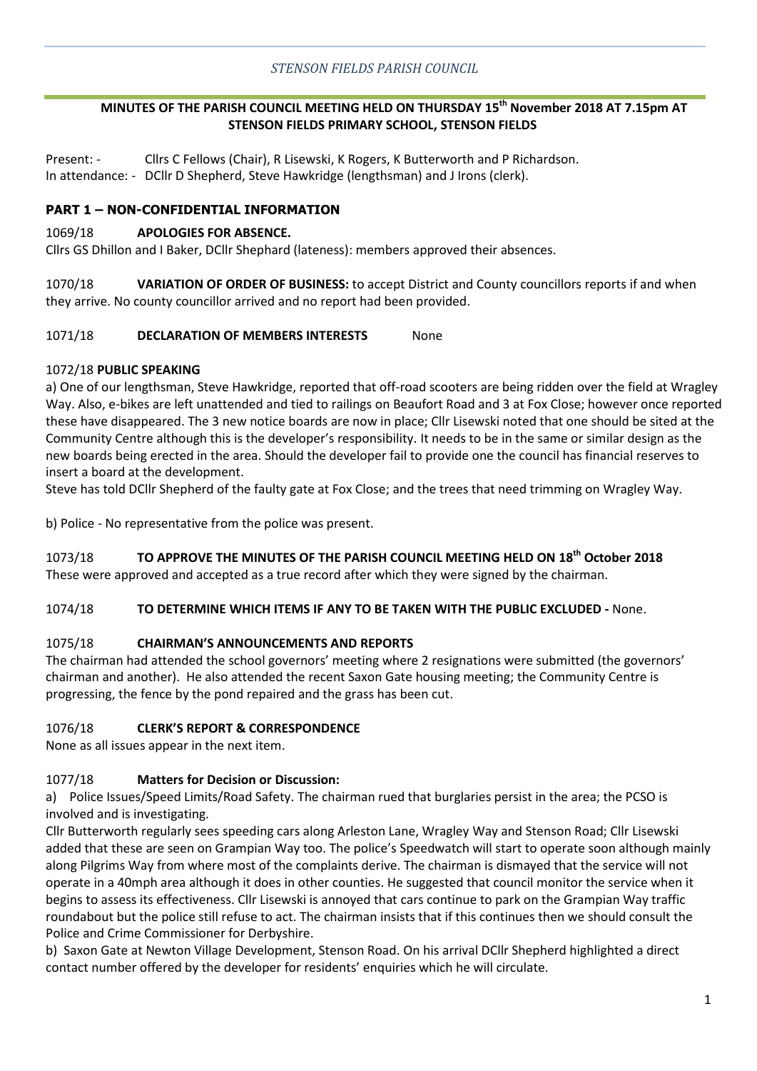## **MINUTES OF THE PARISH COUNCIL MEETING HELD ON THURSDAY 15th November 2018 AT 7.15pm AT STENSON FIELDS PRIMARY SCHOOL, STENSON FIELDS**

Present: - Cllrs C Fellows (Chair), R Lisewski, K Rogers, K Butterworth and P Richardson. In attendance: - DCllr D Shepherd, Steve Hawkridge (lengthsman) and J Irons (clerk).

## **PART 1 – NON-CONFIDENTIAL INFORMATION**

#### 1069/18 **APOLOGIES FOR ABSENCE.**

Cllrs GS Dhillon and I Baker, DCllr Shephard (lateness): members approved their absences.

1070/18 **VARIATION OF ORDER OF BUSINESS:** to accept District and County councillors reports if and when they arrive. No county councillor arrived and no report had been provided.

#### 1071/18 **DECLARATION OF MEMBERS INTERESTS** None

#### 1072/18 **PUBLIC SPEAKING**

a) One of our lengthsman, Steve Hawkridge, reported that off-road scooters are being ridden over the field at Wragley Way. Also, e-bikes are left unattended and tied to railings on Beaufort Road and 3 at Fox Close; however once reported these have disappeared. The 3 new notice boards are now in place; Cllr Lisewski noted that one should be sited at the Community Centre although this is the developer's responsibility. It needs to be in the same or similar design as the new boards being erected in the area. Should the developer fail to provide one the council has financial reserves to insert a board at the development.

Steve has told DCllr Shepherd of the faulty gate at Fox Close; and the trees that need trimming on Wragley Way.

b) Police - No representative from the police was present.

## 1073/18 **TO APPROVE THE MINUTES OF THE PARISH COUNCIL MEETING HELD ON 18th October 2018**

These were approved and accepted as a true record after which they were signed by the chairman.

#### 1074/18 **TO DETERMINE WHICH ITEMS IF ANY TO BE TAKEN WITH THE PUBLIC EXCLUDED -** None.

## 1075/18 **CHAIRMAN'S ANNOUNCEMENTS AND REPORTS**

The chairman had attended the school governors' meeting where 2 resignations were submitted (the governors' chairman and another). He also attended the recent Saxon Gate housing meeting; the Community Centre is progressing, the fence by the pond repaired and the grass has been cut.

## 1076/18 **CLERK'S REPORT & CORRESPONDENCE**

None as all issues appear in the next item.

## 1077/18 **Matters for Decision or Discussion:**

a) Police Issues/Speed Limits/Road Safety. The chairman rued that burglaries persist in the area; the PCSO is involved and is investigating.

Cllr Butterworth regularly sees speeding cars along Arleston Lane, Wragley Way and Stenson Road; Cllr Lisewski added that these are seen on Grampian Way too. The police's Speedwatch will start to operate soon although mainly along Pilgrims Way from where most of the complaints derive. The chairman is dismayed that the service will not operate in a 40mph area although it does in other counties. He suggested that council monitor the service when it begins to assess its effectiveness. Cllr Lisewski is annoyed that cars continue to park on the Grampian Way traffic roundabout but the police still refuse to act. The chairman insists that if this continues then we should consult the Police and Crime Commissioner for Derbyshire.

b) Saxon Gate at Newton Village Development, Stenson Road. On his arrival DCllr Shepherd highlighted a direct contact number offered by the developer for residents' enquiries which he will circulate.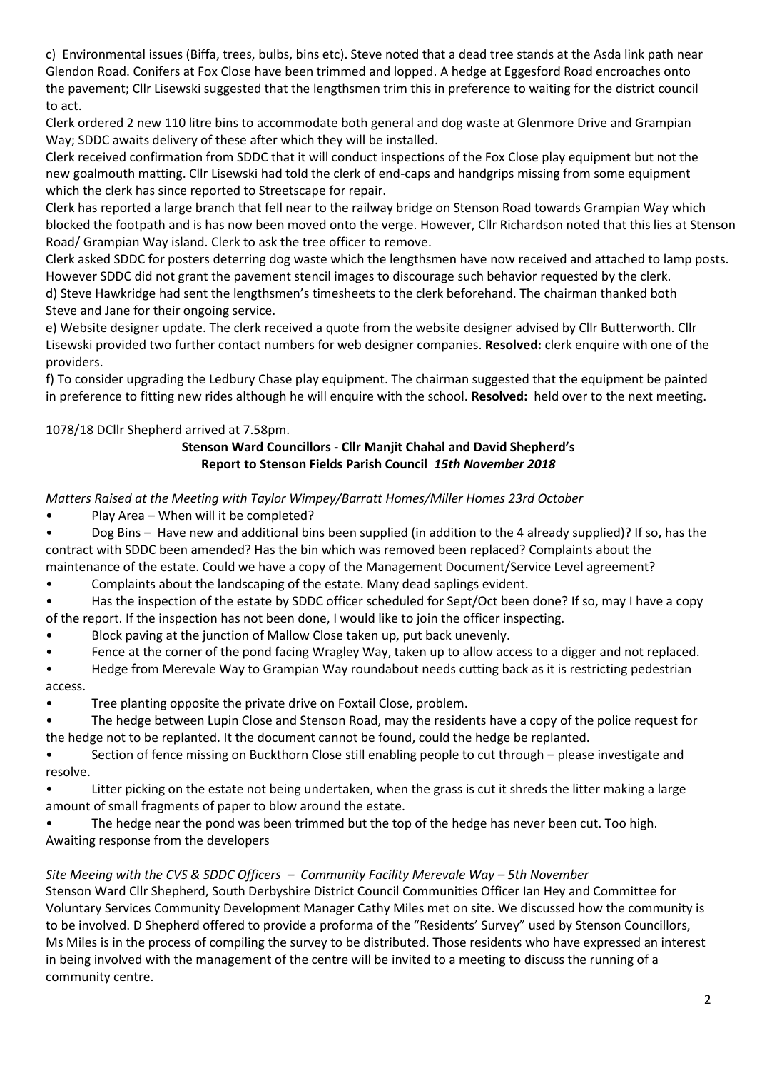c) Environmental issues (Biffa, trees, bulbs, bins etc). Steve noted that a dead tree stands at the Asda link path near Glendon Road. Conifers at Fox Close have been trimmed and lopped. A hedge at Eggesford Road encroaches onto the pavement; Cllr Lisewski suggested that the lengthsmen trim this in preference to waiting for the district council to act.

Clerk ordered 2 new 110 litre bins to accommodate both general and dog waste at Glenmore Drive and Grampian Way; SDDC awaits delivery of these after which they will be installed.

Clerk received confirmation from SDDC that it will conduct inspections of the Fox Close play equipment but not the new goalmouth matting. Cllr Lisewski had told the clerk of end-caps and handgrips missing from some equipment which the clerk has since reported to Streetscape for repair.

Clerk has reported a large branch that fell near to the railway bridge on Stenson Road towards Grampian Way which blocked the footpath and is has now been moved onto the verge. However, Cllr Richardson noted that this lies at Stenson Road/ Grampian Way island. Clerk to ask the tree officer to remove.

Clerk asked SDDC for posters deterring dog waste which the lengthsmen have now received and attached to lamp posts. However SDDC did not grant the pavement stencil images to discourage such behavior requested by the clerk. d) Steve Hawkridge had sent the lengthsmen's timesheets to the clerk beforehand. The chairman thanked both Steve and Jane for their ongoing service.

e) Website designer update. The clerk received a quote from the website designer advised by Cllr Butterworth. Cllr Lisewski provided two further contact numbers for web designer companies. **Resolved:** clerk enquire with one of the providers.

f) To consider upgrading the Ledbury Chase play equipment. The chairman suggested that the equipment be painted in preference to fitting new rides although he will enquire with the school. **Resolved:** held over to the next meeting.

# 1078/18 DCllr Shepherd arrived at 7.58pm.

# **Stenson Ward Councillors - Cllr Manjit Chahal and David Shepherd's Report to Stenson Fields Parish Council** *15th November 2018*

*Matters Raised at the Meeting with Taylor Wimpey/Barratt Homes/Miller Homes 23rd October* 

• Play Area – When will it be completed?

• Dog Bins – Have new and additional bins been supplied (in addition to the 4 already supplied)? If so, has the contract with SDDC been amended? Has the bin which was removed been replaced? Complaints about the

maintenance of the estate. Could we have a copy of the Management Document/Service Level agreement?

• Complaints about the landscaping of the estate. Many dead saplings evident.

• Has the inspection of the estate by SDDC officer scheduled for Sept/Oct been done? If so, may I have a copy of the report. If the inspection has not been done, I would like to join the officer inspecting.

- Block paving at the junction of Mallow Close taken up, put back unevenly.
- Fence at the corner of the pond facing Wragley Way, taken up to allow access to a digger and not replaced.

• Hedge from Merevale Way to Grampian Way roundabout needs cutting back as it is restricting pedestrian access.

- Tree planting opposite the private drive on Foxtail Close, problem.
- The hedge between Lupin Close and Stenson Road, may the residents have a copy of the police request for the hedge not to be replanted. It the document cannot be found, could the hedge be replanted.

• Section of fence missing on Buckthorn Close still enabling people to cut through – please investigate and resolve.

Litter picking on the estate not being undertaken, when the grass is cut it shreds the litter making a large amount of small fragments of paper to blow around the estate.

The hedge near the pond was been trimmed but the top of the hedge has never been cut. Too high. Awaiting response from the developers

# *Site Meeing with the CVS & SDDC Officers – Community Facility Merevale Way – 5th November*

Stenson Ward Cllr Shepherd, South Derbyshire District Council Communities Officer Ian Hey and Committee for Voluntary Services Community Development Manager Cathy Miles met on site. We discussed how the community is to be involved. D Shepherd offered to provide a proforma of the "Residents' Survey" used by Stenson Councillors, Ms Miles is in the process of compiling the survey to be distributed. Those residents who have expressed an interest in being involved with the management of the centre will be invited to a meeting to discuss the running of a community centre.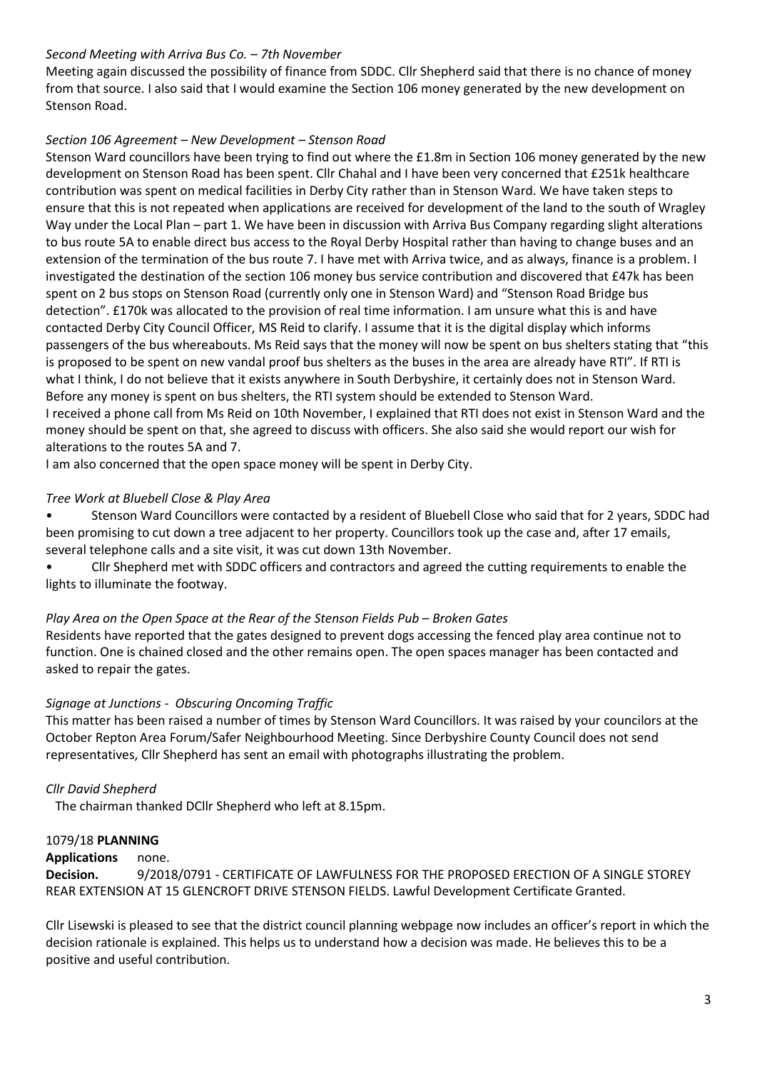## *Second Meeting with Arriva Bus Co. – 7th November*

Meeting again discussed the possibility of finance from SDDC. Cllr Shepherd said that there is no chance of money from that source. I also said that I would examine the Section 106 money generated by the new development on Stenson Road.

## *Section 106 Agreement – New Development – Stenson Road*

Stenson Ward councillors have been trying to find out where the £1.8m in Section 106 money generated by the new development on Stenson Road has been spent. Cllr Chahal and I have been very concerned that £251k healthcare contribution was spent on medical facilities in Derby City rather than in Stenson Ward. We have taken steps to ensure that this is not repeated when applications are received for development of the land to the south of Wragley Way under the Local Plan – part 1. We have been in discussion with Arriva Bus Company regarding slight alterations to bus route 5A to enable direct bus access to the Royal Derby Hospital rather than having to change buses and an extension of the termination of the bus route 7. I have met with Arriva twice, and as always, finance is a problem. I investigated the destination of the section 106 money bus service contribution and discovered that £47k has been spent on 2 bus stops on Stenson Road (currently only one in Stenson Ward) and "Stenson Road Bridge bus detection". £170k was allocated to the provision of real time information. I am unsure what this is and have contacted Derby City Council Officer, MS Reid to clarify. I assume that it is the digital display which informs passengers of the bus whereabouts. Ms Reid says that the money will now be spent on bus shelters stating that "this is proposed to be spent on new vandal proof bus shelters as the buses in the area are already have RTI". If RTI is what I think, I do not believe that it exists anywhere in South Derbyshire, it certainly does not in Stenson Ward. Before any money is spent on bus shelters, the RTI system should be extended to Stenson Ward. I received a phone call from Ms Reid on 10th November, I explained that RTI does not exist in Stenson Ward and the money should be spent on that, she agreed to discuss with officers. She also said she would report our wish for

alterations to the routes 5A and 7.

I am also concerned that the open space money will be spent in Derby City.

## *Tree Work at Bluebell Close & Play Area*

• Stenson Ward Councillors were contacted by a resident of Bluebell Close who said that for 2 years, SDDC had been promising to cut down a tree adjacent to her property. Councillors took up the case and, after 17 emails, several telephone calls and a site visit, it was cut down 13th November.

• Cllr Shepherd met with SDDC officers and contractors and agreed the cutting requirements to enable the lights to illuminate the footway.

#### *Play Area on the Open Space at the Rear of the Stenson Fields Pub - Broken Gates*

Residents have reported that the gates designed to prevent dogs accessing the fenced play area continue not to function. One is chained closed and the other remains open. The open spaces manager has been contacted and asked to repair the gates.

## *Signage at Junctions - Obscuring Oncoming Traffic*

This matter has been raised a number of times by Stenson Ward Councillors. It was raised by your councilors at the October Repton Area Forum/Safer Neighbourhood Meeting. Since Derbyshire County Council does not send representatives, Cllr Shepherd has sent an email with photographs illustrating the problem.

## *Cllr David Shepherd*

The chairman thanked DCllr Shepherd who left at 8.15pm.

#### 1079/18 **PLANNING**

#### **Applications** none.

**Decision.** 9/2018/0791 - CERTIFICATE OF LAWFULNESS FOR THE PROPOSED ERECTION OF A SINGLE STOREY REAR EXTENSION AT 15 GLENCROFT DRIVE STENSON FIELDS. Lawful Development Certificate Granted.

Cllr Lisewski is pleased to see that the district council planning webpage now includes an officer's report in which the decision rationale is explained. This helps us to understand how a decision was made. He believes this to be a positive and useful contribution.